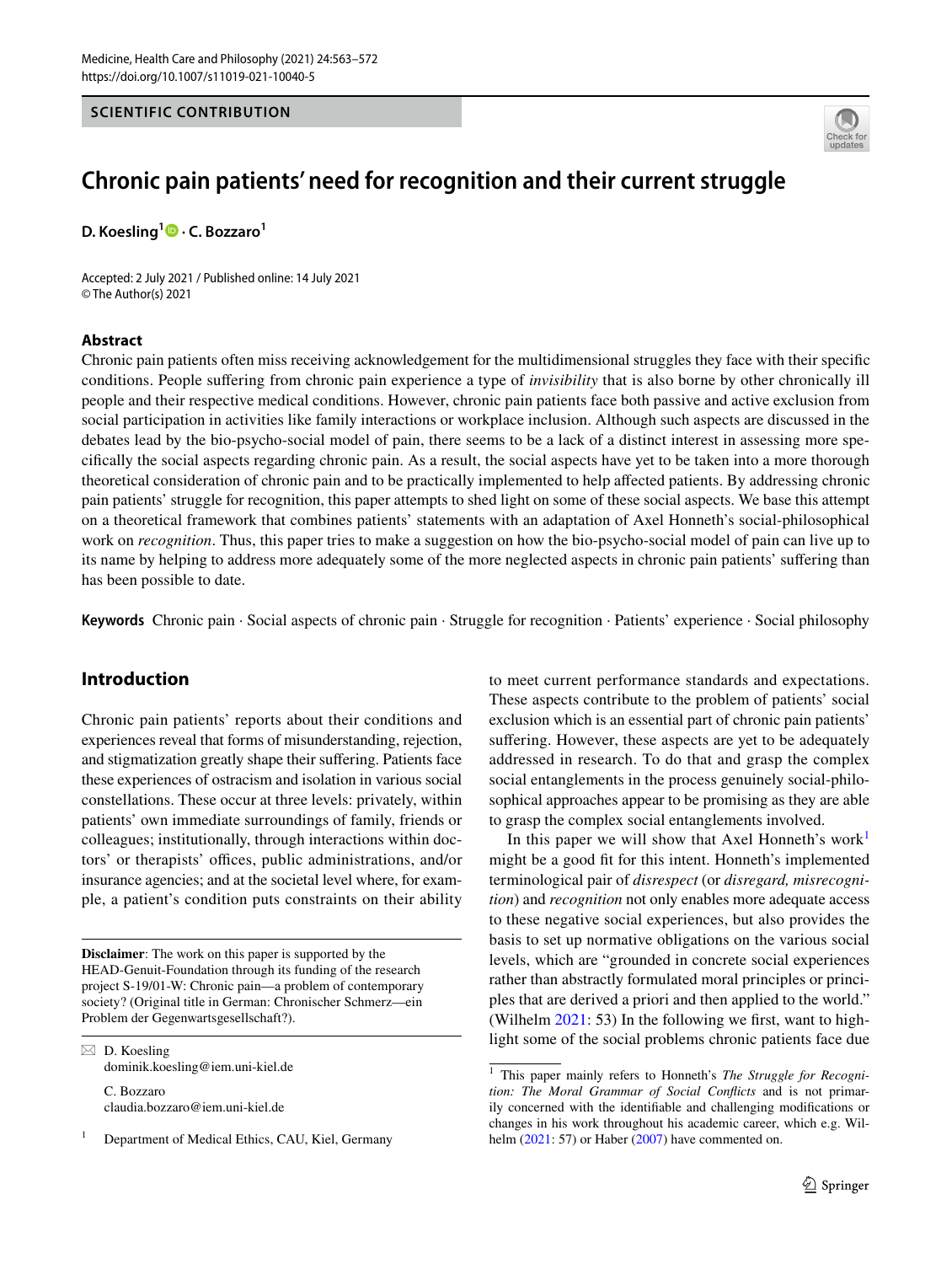#### **SCIENTIFIC CONTRIBUTION**



# **Chronic pain patients' need for recognition and their current struggle**

**D. Koesling1  [·](http://orcid.org/0000-0002-7640-6467) C. Bozzaro<sup>1</sup>**

Accepted: 2 July 2021 / Published online: 14 July 2021 © The Author(s) 2021

#### **Abstract**

Chronic pain patients often miss receiving acknowledgement for the multidimensional struggles they face with their specifc conditions. People sufering from chronic pain experience a type of *invisibility* that is also borne by other chronically ill people and their respective medical conditions. However, chronic pain patients face both passive and active exclusion from social participation in activities like family interactions or workplace inclusion. Although such aspects are discussed in the debates lead by the bio-psycho-social model of pain, there seems to be a lack of a distinct interest in assessing more specifcally the social aspects regarding chronic pain. As a result, the social aspects have yet to be taken into a more thorough theoretical consideration of chronic pain and to be practically implemented to help afected patients. By addressing chronic pain patients' struggle for recognition, this paper attempts to shed light on some of these social aspects. We base this attempt on a theoretical framework that combines patients' statements with an adaptation of Axel Honneth's social-philosophical work on *recognition*. Thus, this paper tries to make a suggestion on how the bio-psycho-social model of pain can live up to its name by helping to address more adequately some of the more neglected aspects in chronic pain patients' sufering than has been possible to date.

**Keywords** Chronic pain · Social aspects of chronic pain · Struggle for recognition · Patients' experience · Social philosophy

# **Introduction**

Chronic pain patients' reports about their conditions and experiences reveal that forms of misunderstanding, rejection, and stigmatization greatly shape their sufering. Patients face these experiences of ostracism and isolation in various social constellations. These occur at three levels: privately, within patients' own immediate surroundings of family, friends or colleagues; institutionally, through interactions within doctors' or therapists' offices, public administrations, and/or insurance agencies; and at the societal level where, for example, a patient's condition puts constraints on their ability

**Disclaimer**: The work on this paper is supported by the HEAD-Genuit-Foundation through its funding of the research project S-19/01-W: Chronic pain—a problem of contemporary society? (Original title in German: Chronischer Schmerz—ein Problem der Gegenwartsgesellschaft?).

 $\boxtimes$  D. Koesling dominik.koesling@iem.uni-kiel.de C. Bozzaro claudia.bozzaro@iem.uni-kiel.de

Department of Medical Ethics, CAU, Kiel, Germany

to meet current performance standards and expectations. These aspects contribute to the problem of patients' social exclusion which is an essential part of chronic pain patients' suffering. However, these aspects are yet to be adequately addressed in research. To do that and grasp the complex social entanglements in the process genuinely social-philosophical approaches appear to be promising as they are able to grasp the complex social entanglements involved.

In this paper we will show that Axel Honneth's work<sup>[1](#page-0-0)</sup> might be a good ft for this intent. Honneth's implemented terminological pair of *disrespect* (or *disregard, misrecognition*) and *recognition* not only enables more adequate access to these negative social experiences, but also provides the basis to set up normative obligations on the various social levels, which are "grounded in concrete social experiences rather than abstractly formulated moral principles or principles that are derived a priori and then applied to the world." (Wilhelm [2021](#page-9-0): 53) In the following we frst, want to highlight some of the social problems chronic patients face due

<span id="page-0-0"></span><sup>&</sup>lt;sup>1</sup> This paper mainly refers to Honneth's *The Struggle for Recognition: The Moral Grammar of Social Conficts* and is not primarily concerned with the identifable and challenging modifcations or changes in his work throughout his academic career, which e.g. Wilhelm  $(2021: 57)$  $(2021: 57)$  or Haber  $(2007)$  $(2007)$  have commented on.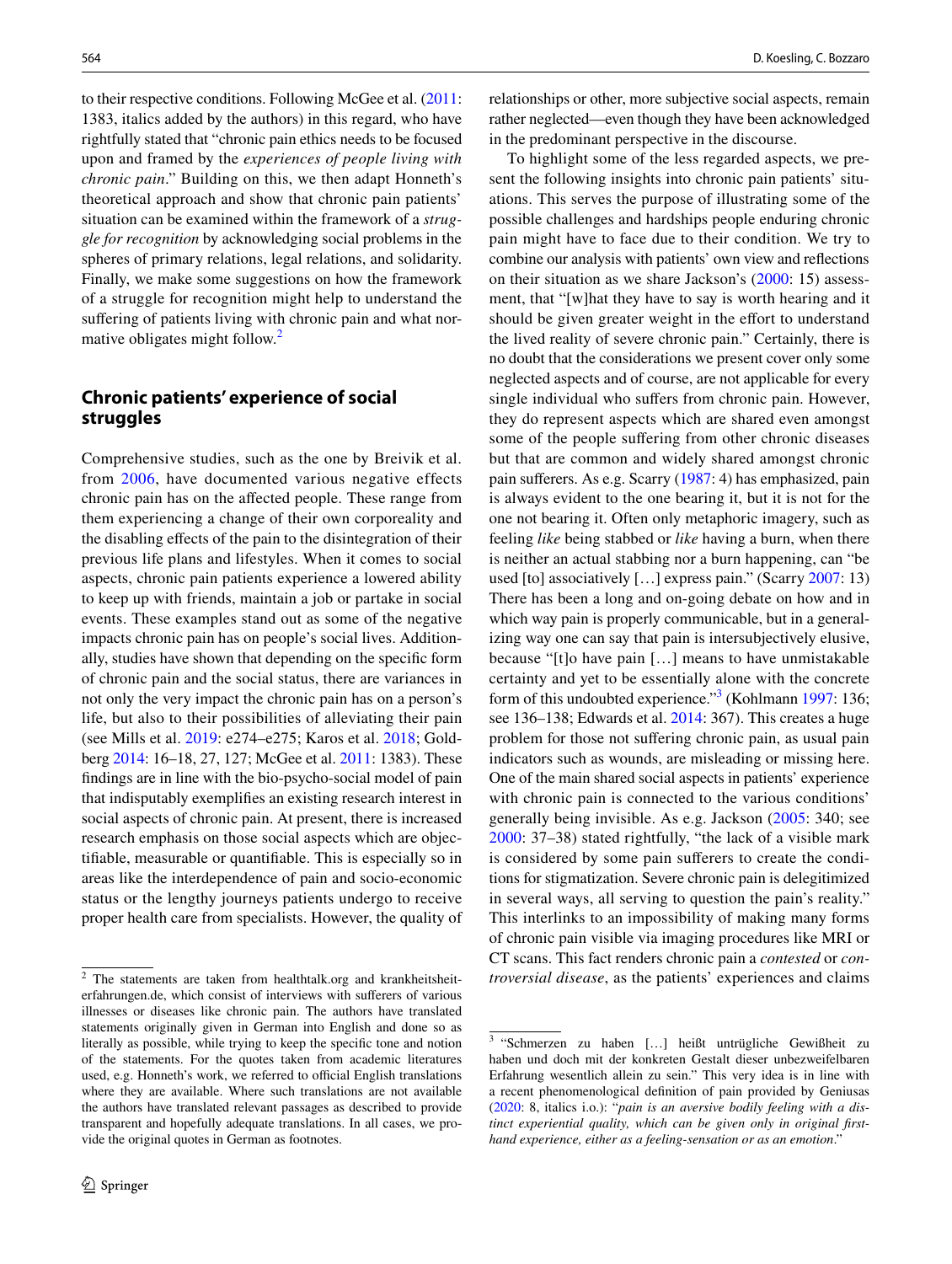to their respective conditions. Following McGee et al. ([2011](#page-9-2): 1383, italics added by the authors) in this regard, who have rightfully stated that "chronic pain ethics needs to be focused upon and framed by the *experiences of people living with chronic pain*." Building on this, we then adapt Honneth's theoretical approach and show that chronic pain patients' situation can be examined within the framework of a *struggle for recognition* by acknowledging social problems in the spheres of primary relations, legal relations, and solidarity. Finally, we make some suggestions on how the framework of a struggle for recognition might help to understand the suffering of patients living with chronic pain and what nor-mative obligates might follow.<sup>[2](#page-1-0)</sup>

# **Chronic patients' experience of social struggles**

Comprehensive studies, such as the one by Breivik et al. from [2006](#page-8-0), have documented various negative effects chronic pain has on the afected people. These range from them experiencing a change of their own corporeality and the disabling efects of the pain to the disintegration of their previous life plans and lifestyles. When it comes to social aspects, chronic pain patients experience a lowered ability to keep up with friends, maintain a job or partake in social events. These examples stand out as some of the negative impacts chronic pain has on people's social lives. Additionally, studies have shown that depending on the specifc form of chronic pain and the social status, there are variances in not only the very impact the chronic pain has on a person's life, but also to their possibilities of alleviating their pain (see Mills et al. [2019](#page-9-3): e274–e275; Karos et al. [2018](#page-9-4); Goldberg [2014:](#page-9-5) 16–18, 27, 127; McGee et al. [2011](#page-9-2): 1383). These fndings are in line with the bio-psycho-social model of pain that indisputably exemplifes an existing research interest in social aspects of chronic pain. At present, there is increased research emphasis on those social aspects which are objectifable, measurable or quantifable. This is especially so in areas like the interdependence of pain and socio-economic status or the lengthy journeys patients undergo to receive proper health care from specialists. However, the quality of relationships or other, more subjective social aspects, remain rather neglected—even though they have been acknowledged in the predominant perspective in the discourse.

To highlight some of the less regarded aspects, we present the following insights into chronic pain patients' situations. This serves the purpose of illustrating some of the possible challenges and hardships people enduring chronic pain might have to face due to their condition. We try to combine our analysis with patients' own view and refections on their situation as we share Jackson's ([2000:](#page-9-6) 15) assessment, that "[w]hat they have to say is worth hearing and it should be given greater weight in the effort to understand the lived reality of severe chronic pain." Certainly, there is no doubt that the considerations we present cover only some neglected aspects and of course, are not applicable for every single individual who suffers from chronic pain. However, they do represent aspects which are shared even amongst some of the people suffering from other chronic diseases but that are common and widely shared amongst chronic pain suferers. As e.g. Scarry [\(1987](#page-9-7): 4) has emphasized, pain is always evident to the one bearing it, but it is not for the one not bearing it. Often only metaphoric imagery, such as feeling *like* being stabbed or *like* having a burn, when there is neither an actual stabbing nor a burn happening, can "be used [to] associatively […] express pain." (Scarry [2007:](#page-9-8) 13) There has been a long and on-going debate on how and in which way pain is properly communicable, but in a generalizing way one can say that pain is intersubjectively elusive, because "[t]o have pain […] means to have unmistakable certainty and yet to be essentially alone with the concrete form of this undoubted experience."<sup>[3](#page-1-1)</sup> (Kohlmann [1997:](#page-9-9) 136; see 136–138; Edwards et al. [2014:](#page-9-10) 367). This creates a huge problem for those not sufering chronic pain, as usual pain indicators such as wounds, are misleading or missing here. One of the main shared social aspects in patients' experience with chronic pain is connected to the various conditions' generally being invisible. As e.g. Jackson ([2005](#page-9-11): 340; see [2000:](#page-9-6) 37–38) stated rightfully, "the lack of a visible mark is considered by some pain suferers to create the conditions for stigmatization. Severe chronic pain is delegitimized in several ways, all serving to question the pain's reality." This interlinks to an impossibility of making many forms of chronic pain visible via imaging procedures like MRI or CT scans. This fact renders chronic pain a *contested* or *con-*

<span id="page-1-0"></span><sup>&</sup>lt;sup>2</sup> The statements are taken from healthtalk.org and krankheitsheit-<br>  $trowersial disease$ , as the patients' experiences and claims erfahrungen.de, which consist of interviews with suferers of various illnesses or diseases like chronic pain. The authors have translated statements originally given in German into English and done so as literally as possible, while trying to keep the specifc tone and notion of the statements. For the quotes taken from academic literatures used, e.g. Honneth's work, we referred to official English translations where they are available. Where such translations are not available the authors have translated relevant passages as described to provide transparent and hopefully adequate translations. In all cases, we provide the original quotes in German as footnotes.

<span id="page-1-1"></span><sup>3</sup> "Schmerzen zu haben […] heißt untrügliche Gewißheit zu haben und doch mit der konkreten Gestalt dieser unbezweifelbaren Erfahrung wesentlich allein zu sein." This very idea is in line with a recent phenomenological defnition of pain provided by Geniusas ([2020:](#page-9-12) 8, italics i.o.): "*pain is an aversive bodily feeling with a distinct experiential quality, which can be given only in original frsthand experience, either as a feeling-sensation or as an emotion*."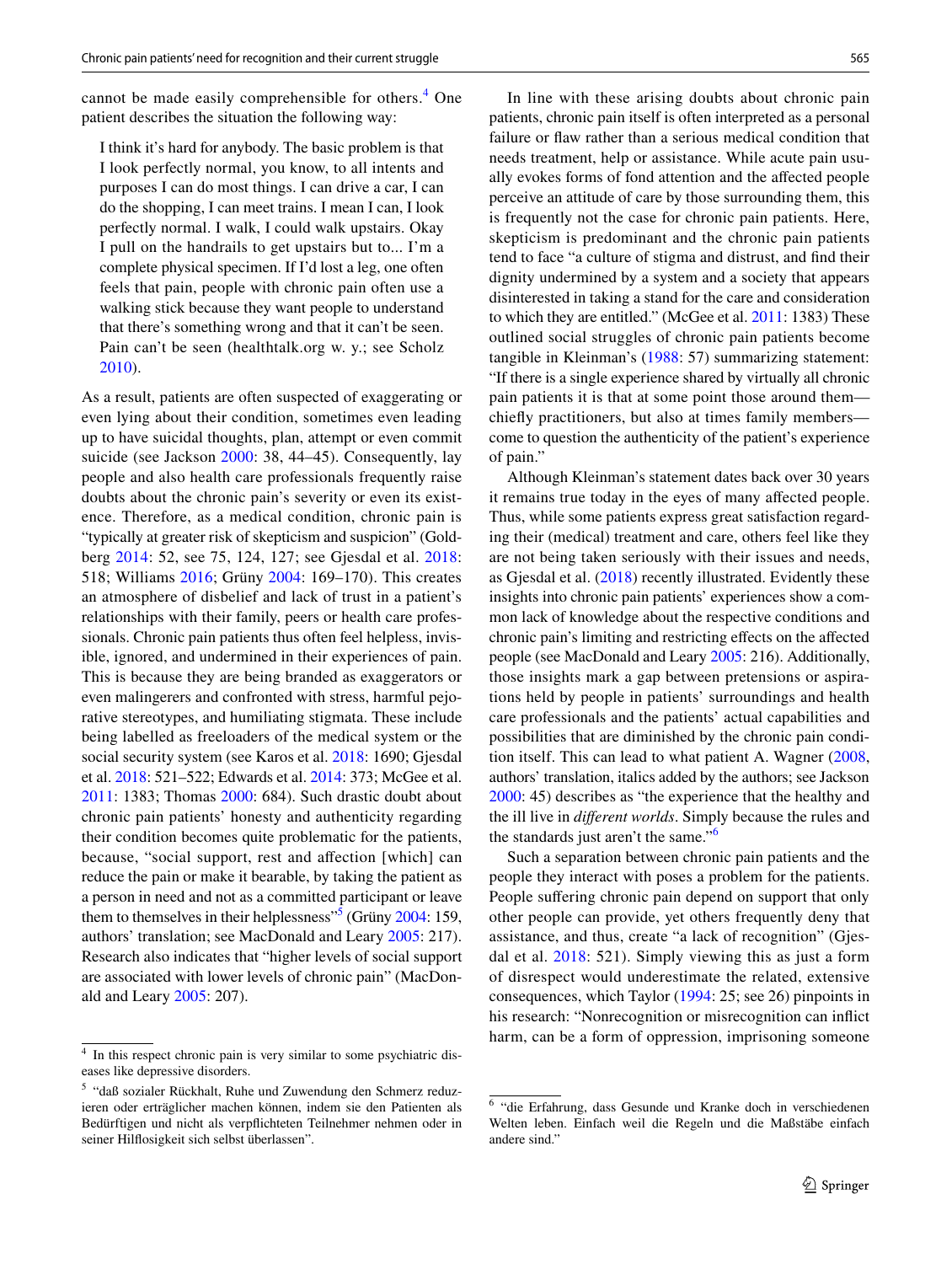cannot be made easily comprehensible for others.<sup>[4](#page-2-0)</sup> One patient describes the situation the following way:

I think it's hard for anybody. The basic problem is that I look perfectly normal, you know, to all intents and purposes I can do most things. I can drive a car, I can do the shopping, I can meet trains. I mean I can, I look perfectly normal. I walk, I could walk upstairs. Okay I pull on the handrails to get upstairs but to... I'm a complete physical specimen. If I'd lost a leg, one often feels that pain, people with chronic pain often use a walking stick because they want people to understand that there's something wrong and that it can't be seen. Pain can't be seen (healthtalk.org w. y.; see Scholz [2010\)](#page-9-13).

As a result, patients are often suspected of exaggerating or even lying about their condition, sometimes even leading up to have suicidal thoughts, plan, attempt or even commit suicide (see Jackson [2000:](#page-9-6) 38, 44–45). Consequently, lay people and also health care professionals frequently raise doubts about the chronic pain's severity or even its existence. Therefore, as a medical condition, chronic pain is "typically at greater risk of skepticism and suspicion" (Goldberg [2014](#page-9-5): 52, see 75, 124, 127; see Gjesdal et al. [2018](#page-9-14): 518; Williams [2016](#page-9-15); Grüny [2004:](#page-9-16) 169–170). This creates an atmosphere of disbelief and lack of trust in a patient's relationships with their family, peers or health care professionals. Chronic pain patients thus often feel helpless, invisible, ignored, and undermined in their experiences of pain. This is because they are being branded as exaggerators or even malingerers and confronted with stress, harmful pejorative stereotypes, and humiliating stigmata. These include being labelled as freeloaders of the medical system or the social security system (see Karos et al. [2018](#page-9-4): 1690; Gjesdal et al. [2018:](#page-9-14) 521–522; Edwards et al. [2014](#page-9-10): 373; McGee et al. [2011](#page-9-2): 1383; Thomas [2000](#page-9-17): 684). Such drastic doubt about chronic pain patients' honesty and authenticity regarding their condition becomes quite problematic for the patients, because, "social support, rest and affection [which] can reduce the pain or make it bearable, by taking the patient as a person in need and not as a committed participant or leave them to themselves in their helplessness<sup>55</sup> (Grüny [2004](#page-9-16): 159, authors' translation; see MacDonald and Leary [2005:](#page-9-18) 217). Research also indicates that "higher levels of social support are associated with lower levels of chronic pain" (MacDonald and Leary [2005](#page-9-18): 207).

In line with these arising doubts about chronic pain patients, chronic pain itself is often interpreted as a personal failure or faw rather than a serious medical condition that needs treatment, help or assistance. While acute pain usually evokes forms of fond attention and the afected people perceive an attitude of care by those surrounding them, this is frequently not the case for chronic pain patients. Here, skepticism is predominant and the chronic pain patients tend to face "a culture of stigma and distrust, and fnd their dignity undermined by a system and a society that appears disinterested in taking a stand for the care and consideration to which they are entitled." (McGee et al. [2011](#page-9-2): 1383) These outlined social struggles of chronic pain patients become tangible in Kleinman's ([1988:](#page-9-19) 57) summarizing statement: "If there is a single experience shared by virtually all chronic pain patients it is that at some point those around them chiefy practitioners, but also at times family members come to question the authenticity of the patient's experience of pain."

Although Kleinman's statement dates back over 30 years it remains true today in the eyes of many afected people. Thus, while some patients express great satisfaction regarding their (medical) treatment and care, others feel like they are not being taken seriously with their issues and needs, as Gjesdal et al. ([2018\)](#page-9-14) recently illustrated. Evidently these insights into chronic pain patients' experiences show a common lack of knowledge about the respective conditions and chronic pain's limiting and restricting efects on the afected people (see MacDonald and Leary [2005](#page-9-18): 216). Additionally, those insights mark a gap between pretensions or aspirations held by people in patients' surroundings and health care professionals and the patients' actual capabilities and possibilities that are diminished by the chronic pain condition itself. This can lead to what patient A. Wagner ([2008,](#page-9-20) authors' translation, italics added by the authors; see Jackson [2000](#page-9-6): 45) describes as "the experience that the healthy and the ill live in *diferent worlds*. Simply because the rules and the standards just aren't the same."[6](#page-2-2)

Such a separation between chronic pain patients and the people they interact with poses a problem for the patients. People suffering chronic pain depend on support that only other people can provide, yet others frequently deny that assistance, and thus, create "a lack of recognition" (Gjesdal et al. [2018](#page-9-14): 521). Simply viewing this as just a form of disrespect would underestimate the related, extensive consequences, which Taylor [\(1994](#page-9-21): 25; see 26) pinpoints in his research: "Nonrecognition or misrecognition can infict harm, can be a form of oppression, imprisoning someone  $\frac{4}{4}$  In this respect chronic pain is very similar to some psychiatric dis-

<span id="page-2-0"></span>eases like depressive disorders.

<span id="page-2-1"></span><sup>5</sup> "daß sozialer Rückhalt, Ruhe und Zuwendung den Schmerz reduzieren oder erträglicher machen können, indem sie den Patienten als Bedürftigen und nicht als verpfichteten Teilnehmer nehmen oder in seiner Hilfosigkeit sich selbst überlassen".

<span id="page-2-2"></span><sup>6</sup> "die Erfahrung, dass Gesunde und Kranke doch in verschiedenen Welten leben. Einfach weil die Regeln und die Maßstäbe einfach andere sind."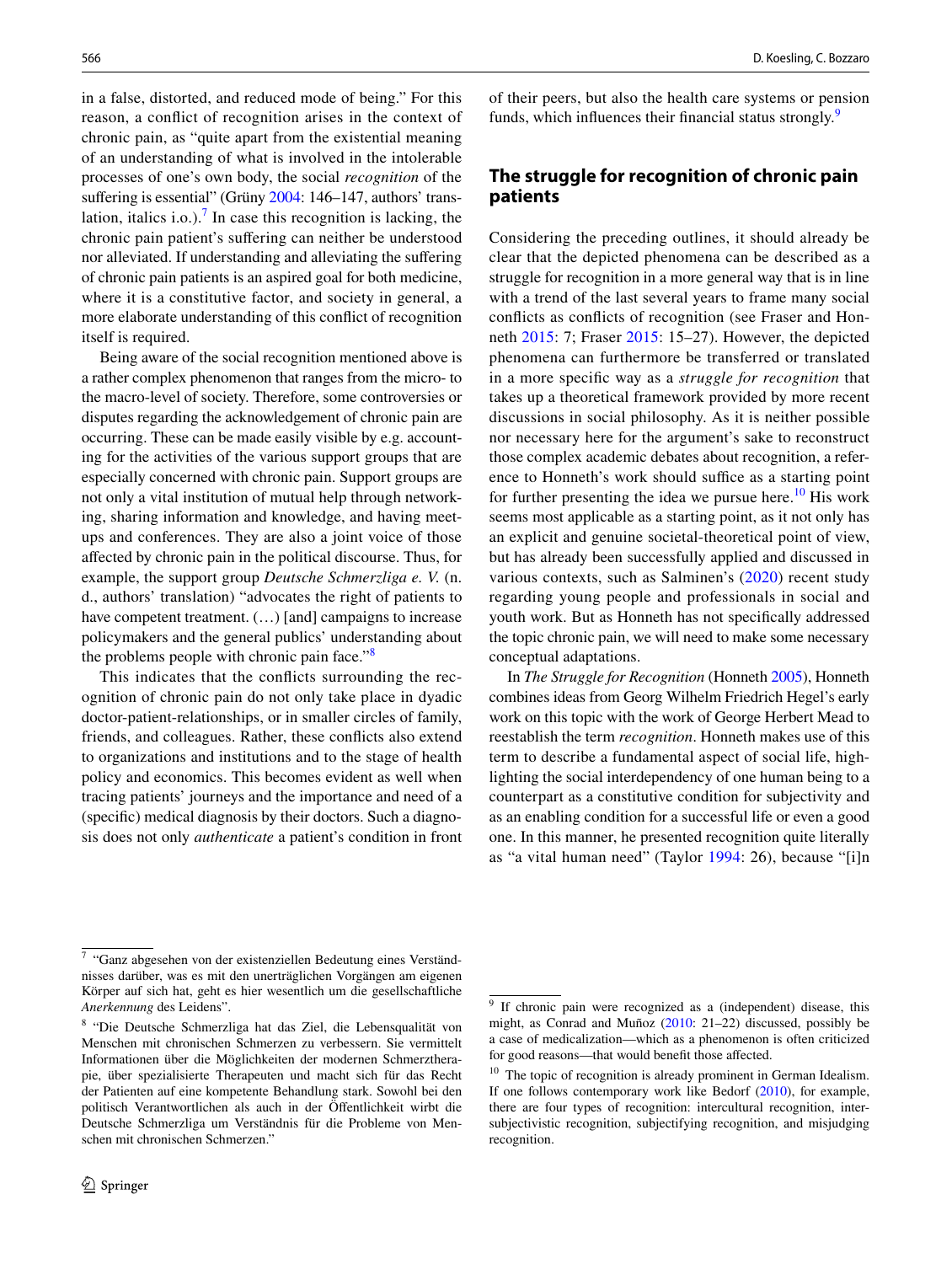in a false, distorted, and reduced mode of being." For this reason, a confict of recognition arises in the context of chronic pain, as "quite apart from the existential meaning of an understanding of what is involved in the intolerable processes of one's own body, the social *recognition* of the suffering is essential" (Grüny [2004](#page-9-16): 146–147, authors' trans-lation, italics i.o.).<sup>[7](#page-3-0)</sup> In case this recognition is lacking, the chronic pain patient's sufering can neither be understood nor alleviated. If understanding and alleviating the sufering of chronic pain patients is an aspired goal for both medicine, where it is a constitutive factor, and society in general, a more elaborate understanding of this confict of recognition itself is required.

Being aware of the social recognition mentioned above is a rather complex phenomenon that ranges from the micro- to the macro-level of society. Therefore, some controversies or disputes regarding the acknowledgement of chronic pain are occurring. These can be made easily visible by e.g. accounting for the activities of the various support groups that are especially concerned with chronic pain. Support groups are not only a vital institution of mutual help through networking, sharing information and knowledge, and having meetups and conferences. They are also a joint voice of those afected by chronic pain in the political discourse. Thus, for example, the support group *Deutsche Schmerzliga e. V.* (n. d., authors' translation) "advocates the right of patients to have competent treatment.  $(...)$  [and] campaigns to increase policymakers and the general publics' understanding about the problems people with chronic pain face."<sup>[8](#page-3-1)</sup>

This indicates that the conficts surrounding the recognition of chronic pain do not only take place in dyadic doctor-patient-relationships, or in smaller circles of family, friends, and colleagues. Rather, these conficts also extend to organizations and institutions and to the stage of health policy and economics. This becomes evident as well when tracing patients' journeys and the importance and need of a (specifc) medical diagnosis by their doctors. Such a diagnosis does not only *authenticate* a patient's condition in front

of their peers, but also the health care systems or pension funds, which influences their financial status strongly.<sup>[9](#page-3-2)</sup>

## **The struggle for recognition of chronic pain patients**

Considering the preceding outlines, it should already be clear that the depicted phenomena can be described as a struggle for recognition in a more general way that is in line with a trend of the last several years to frame many social conficts as conficts of recognition (see Fraser and Honneth [2015](#page-9-22): 7; Fraser [2015](#page-9-23): 15–27). However, the depicted phenomena can furthermore be transferred or translated in a more specifc way as a *struggle for recognition* that takes up a theoretical framework provided by more recent discussions in social philosophy. As it is neither possible nor necessary here for the argument's sake to reconstruct those complex academic debates about recognition, a reference to Honneth's work should suffice as a starting point for further presenting the idea we pursue here.<sup>10</sup> His work seems most applicable as a starting point, as it not only has an explicit and genuine societal-theoretical point of view, but has already been successfully applied and discussed in various contexts, such as Salminen's [\(2020\)](#page-9-24) recent study regarding young people and professionals in social and youth work. But as Honneth has not specifcally addressed the topic chronic pain, we will need to make some necessary conceptual adaptations.

In *The Struggle for Recognition* (Honneth [2005](#page-9-25)), Honneth combines ideas from Georg Wilhelm Friedrich Hegel's early work on this topic with the work of George Herbert Mead to reestablish the term *recognition*. Honneth makes use of this term to describe a fundamental aspect of social life, highlighting the social interdependency of one human being to a counterpart as a constitutive condition for subjectivity and as an enabling condition for a successful life or even a good one. In this manner, he presented recognition quite literally as "a vital human need" (Taylor [1994:](#page-9-21) 26), because "[i]n

<span id="page-3-0"></span><sup>7</sup> "Ganz abgesehen von der existenziellen Bedeutung eines Verständnisses darüber, was es mit den unerträglichen Vorgängen am eigenen Körper auf sich hat, geht es hier wesentlich um die gesellschaftliche *Anerkennung* des Leidens".

<span id="page-3-1"></span><sup>8</sup> "Die Deutsche Schmerzliga hat das Ziel, die Lebensqualität von Menschen mit chronischen Schmerzen zu verbessern. Sie vermittelt Informationen über die Möglichkeiten der modernen Schmerztherapie, über spezialisierte Therapeuten und macht sich für das Recht der Patienten auf eine kompetente Behandlung stark. Sowohl bei den politisch Verantwortlichen als auch in der Öfentlichkeit wirbt die Deutsche Schmerzliga um Verständnis für die Probleme von Menschen mit chronischen Schmerzen."

<span id="page-3-2"></span><sup>&</sup>lt;sup>9</sup> If chronic pain were recognized as a (independent) disease, this might, as Conrad and Muñoz [\(2010](#page-8-1): 21–22) discussed, possibly be a case of medicalization—which as a phenomenon is often criticized for good reasons—that would beneft those afected.

<span id="page-3-3"></span> $10$  The topic of recognition is already prominent in German Idealism. If one follows contemporary work like Bedorf ([2010\)](#page-8-2), for example, there are four types of recognition: intercultural recognition, intersubjectivistic recognition, subjectifying recognition, and misjudging recognition.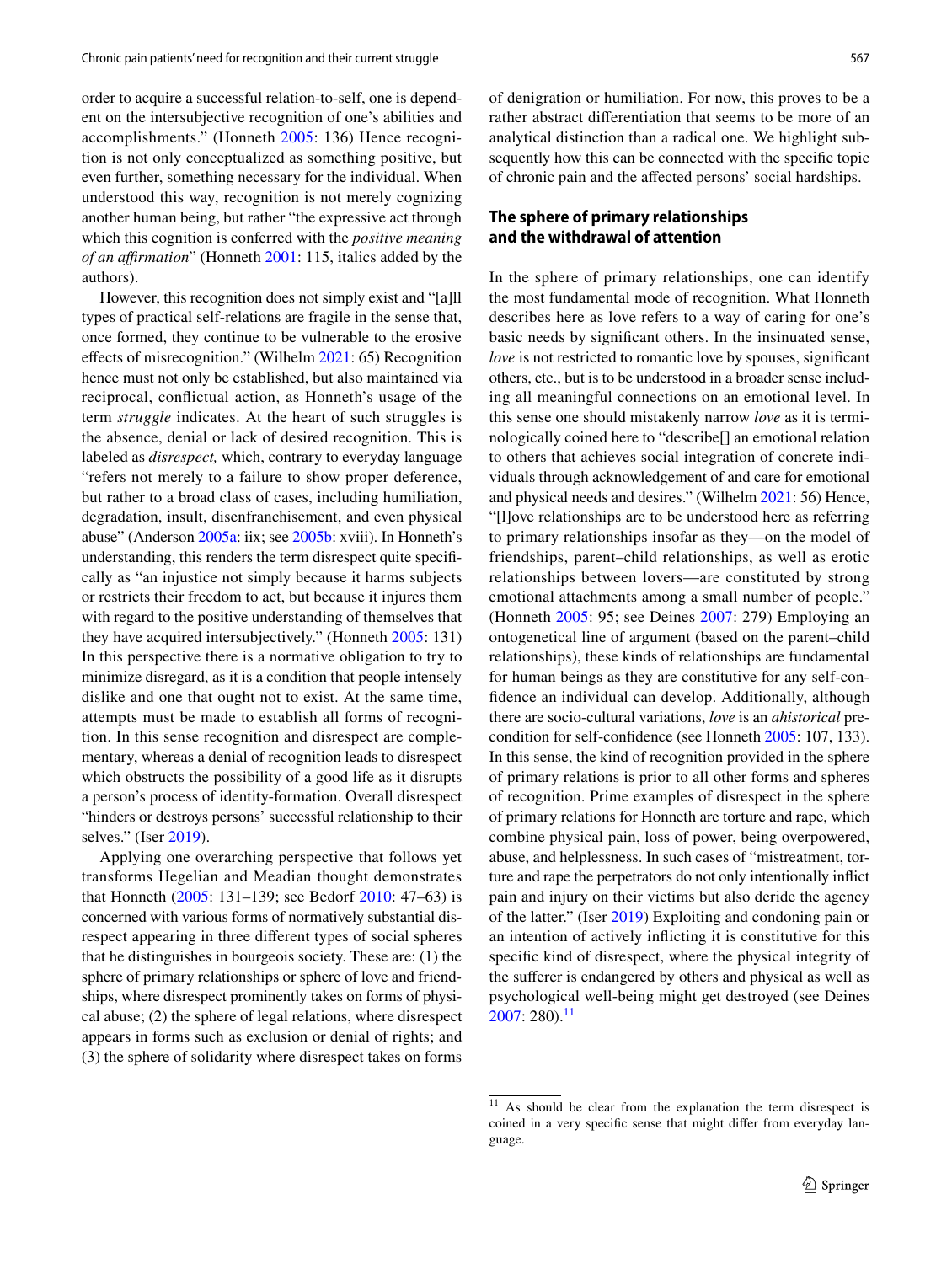order to acquire a successful relation-to-self, one is dependent on the intersubjective recognition of one's abilities and accomplishments." (Honneth [2005](#page-9-25): 136) Hence recognition is not only conceptualized as something positive, but even further, something necessary for the individual. When understood this way, recognition is not merely cognizing another human being, but rather "the expressive act through which this cognition is conferred with the *positive meaning of an afrmation*" (Honneth [2001](#page-9-26): 115, italics added by the authors).

However, this recognition does not simply exist and "[a]ll types of practical self-relations are fragile in the sense that, once formed, they continue to be vulnerable to the erosive efects of misrecognition." (Wilhelm [2021:](#page-9-0) 65) Recognition hence must not only be established, but also maintained via reciprocal, confictual action, as Honneth's usage of the term *struggle* indicates. At the heart of such struggles is the absence, denial or lack of desired recognition. This is labeled as *disrespect,* which, contrary to everyday language "refers not merely to a failure to show proper deference, but rather to a broad class of cases, including humiliation, degradation, insult, disenfranchisement, and even physical abuse" (Anderson [2005a](#page-8-3): iix; see [2005b:](#page-8-4) xviii). In Honneth's understanding, this renders the term disrespect quite specifcally as "an injustice not simply because it harms subjects or restricts their freedom to act, but because it injures them with regard to the positive understanding of themselves that they have acquired intersubjectively." (Honneth [2005](#page-9-25): 131) In this perspective there is a normative obligation to try to minimize disregard, as it is a condition that people intensely dislike and one that ought not to exist. At the same time, attempts must be made to establish all forms of recognition. In this sense recognition and disrespect are complementary, whereas a denial of recognition leads to disrespect which obstructs the possibility of a good life as it disrupts a person's process of identity-formation. Overall disrespect "hinders or destroys persons' successful relationship to their selves." (Iser [2019\)](#page-9-27).

Applying one overarching perspective that follows yet transforms Hegelian and Meadian thought demonstrates that Honneth [\(2005:](#page-9-25) 131–139; see Bedorf [2010](#page-8-2): 47–63) is concerned with various forms of normatively substantial disrespect appearing in three diferent types of social spheres that he distinguishes in bourgeois society. These are: (1) the sphere of primary relationships or sphere of love and friendships, where disrespect prominently takes on forms of physical abuse; (2) the sphere of legal relations, where disrespect appears in forms such as exclusion or denial of rights; and (3) the sphere of solidarity where disrespect takes on forms

of denigration or humiliation. For now, this proves to be a rather abstract diferentiation that seems to be more of an analytical distinction than a radical one. We highlight subsequently how this can be connected with the specifc topic of chronic pain and the afected persons' social hardships.

# **The sphere of primary relationships and the withdrawal of attention**

In the sphere of primary relationships, one can identify the most fundamental mode of recognition. What Honneth describes here as love refers to a way of caring for one's basic needs by signifcant others. In the insinuated sense, *love* is not restricted to romantic love by spouses, significant others, etc., but is to be understood in a broader sense including all meaningful connections on an emotional level. In this sense one should mistakenly narrow *love* as it is terminologically coined here to "describe[] an emotional relation to others that achieves social integration of concrete individuals through acknowledgement of and care for emotional and physical needs and desires." (Wilhelm [2021:](#page-9-0) 56) Hence, "[l]ove relationships are to be understood here as referring to primary relationships insofar as they—on the model of friendships, parent–child relationships, as well as erotic relationships between lovers—are constituted by strong emotional attachments among a small number of people." (Honneth [2005](#page-9-25): 95; see Deines [2007:](#page-9-28) 279) Employing an ontogenetical line of argument (based on the parent–child relationships), these kinds of relationships are fundamental for human beings as they are constitutive for any self-confdence an individual can develop. Additionally, although there are socio-cultural variations, *love* is an *ahistorical* precondition for self-confdence (see Honneth [2005:](#page-9-25) 107, 133). In this sense, the kind of recognition provided in the sphere of primary relations is prior to all other forms and spheres of recognition. Prime examples of disrespect in the sphere of primary relations for Honneth are torture and rape, which combine physical pain, loss of power, being overpowered, abuse, and helplessness. In such cases of "mistreatment, torture and rape the perpetrators do not only intentionally infict pain and injury on their victims but also deride the agency of the latter." (Iser [2019\)](#page-9-27) Exploiting and condoning pain or an intention of actively inficting it is constitutive for this specifc kind of disrespect, where the physical integrity of the suferer is endangered by others and physical as well as psychological well-being might get destroyed (see Deines  $2007: 280$  $2007: 280$ .<sup>[11](#page-4-0)</sup>

<span id="page-4-0"></span><sup>&</sup>lt;sup>11</sup> As should be clear from the explanation the term disrespect is coined in a very specifc sense that might difer from everyday language.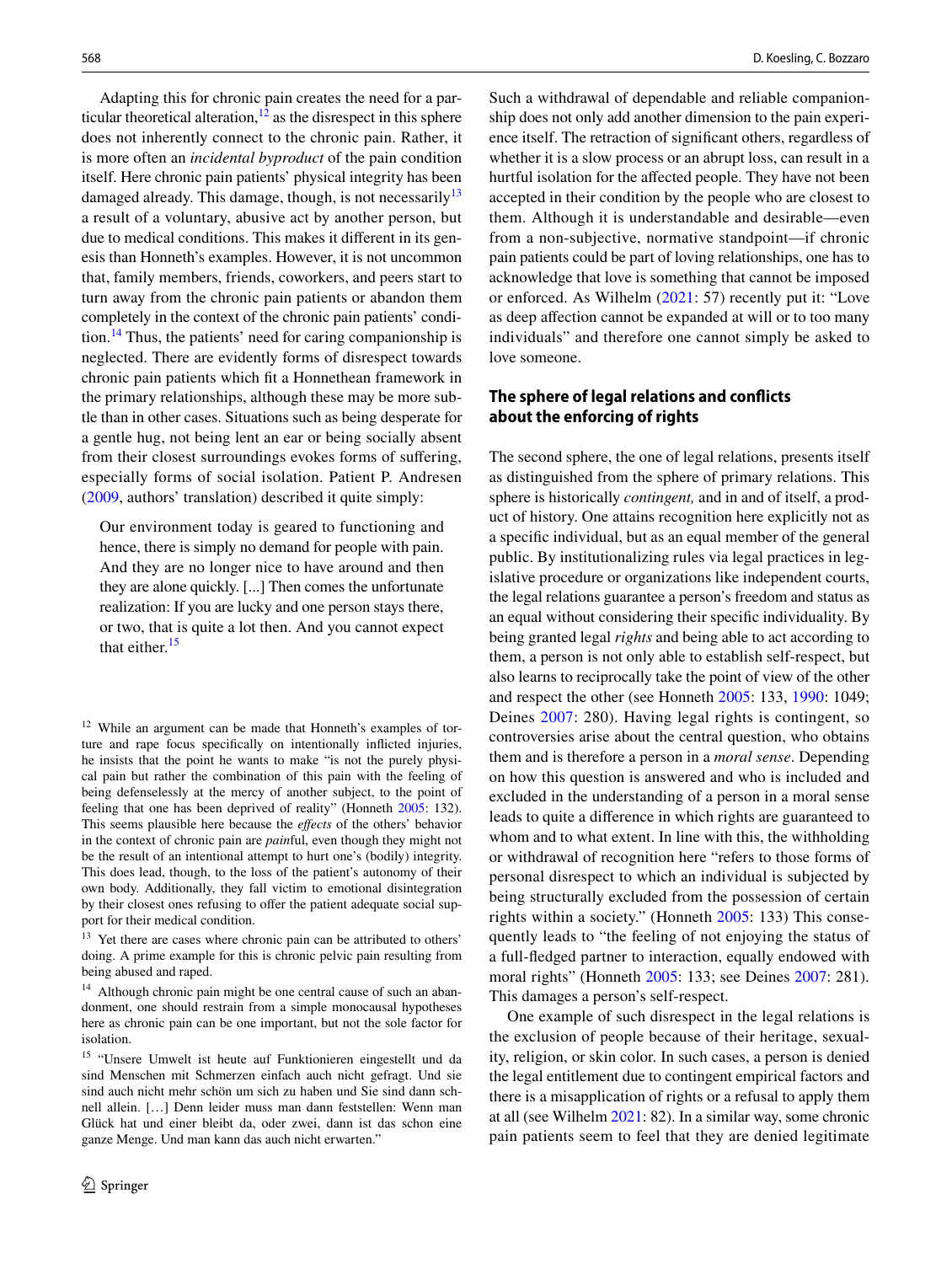Adapting this for chronic pain creates the need for a particular theoretical alteration, $12$  as the disrespect in this sphere does not inherently connect to the chronic pain. Rather, it is more often an *incidental byproduct* of the pain condition itself. Here chronic pain patients' physical integrity has been damaged already. This damage, though, is not necessarily  $13$ a result of a voluntary, abusive act by another person, but due to medical conditions. This makes it diferent in its genesis than Honneth's examples. However, it is not uncommon that, family members, friends, coworkers, and peers start to turn away from the chronic pain patients or abandon them completely in the context of the chronic pain patients' condi-tion.<sup>[14](#page-5-2)</sup> Thus, the patients' need for caring companionship is neglected. There are evidently forms of disrespect towards chronic pain patients which ft a Honnethean framework in the primary relationships, although these may be more subtle than in other cases. Situations such as being desperate for a gentle hug, not being lent an ear or being socially absent from their closest surroundings evokes forms of sufering, especially forms of social isolation. Patient P. Andresen [\(2009,](#page-8-5) authors' translation) described it quite simply:

Our environment today is geared to functioning and hence, there is simply no demand for people with pain. And they are no longer nice to have around and then they are alone quickly. [...] Then comes the unfortunate realization: If you are lucky and one person stays there, or two, that is quite a lot then. And you cannot expect that either.<sup>[15](#page-5-3)</sup>

<span id="page-5-0"></span><sup>12</sup> While an argument can be made that Honneth's examples of torture and rape focus specifcally on intentionally inficted injuries, he insists that the point he wants to make "is not the purely physical pain but rather the combination of this pain with the feeling of being defenselessly at the mercy of another subject, to the point of feeling that one has been deprived of reality" (Honneth [2005](#page-9-25): 132). This seems plausible here because the *efects* of the others' behavior in the context of chronic pain are *pain*ful, even though they might not be the result of an intentional attempt to hurt one's (bodily) integrity. This does lead, though, to the loss of the patient's autonomy of their own body. Additionally, they fall victim to emotional disintegration by their closest ones refusing to offer the patient adequate social support for their medical condition.

<span id="page-5-1"></span><sup>13</sup> Yet there are cases where chronic pain can be attributed to others' doing. A prime example for this is chronic pelvic pain resulting from being abused and raped.

<span id="page-5-2"></span><sup>14</sup> Although chronic pain might be one central cause of such an abandonment, one should restrain from a simple monocausal hypotheses here as chronic pain can be one important, but not the sole factor for isolation.

<span id="page-5-3"></span><sup>15</sup> "Unsere Umwelt ist heute auf Funktionieren eingestellt und da sind Menschen mit Schmerzen einfach auch nicht gefragt. Und sie sind auch nicht mehr schön um sich zu haben und Sie sind dann schnell allein. […] Denn leider muss man dann feststellen: Wenn man Glück hat und einer bleibt da, oder zwei, dann ist das schon eine ganze Menge. Und man kann das auch nicht erwarten."

Such a withdrawal of dependable and reliable companionship does not only add another dimension to the pain experience itself. The retraction of signifcant others, regardless of whether it is a slow process or an abrupt loss, can result in a hurtful isolation for the afected people. They have not been accepted in their condition by the people who are closest to them. Although it is understandable and desirable—even from a non-subjective, normative standpoint—if chronic pain patients could be part of loving relationships, one has to acknowledge that love is something that cannot be imposed or enforced. As Wilhelm [\(2021](#page-9-0): 57) recently put it: "Love as deep afection cannot be expanded at will or to too many individuals" and therefore one cannot simply be asked to love someone.

## **The sphere of legal relations and conficts about the enforcing of rights**

The second sphere, the one of legal relations, presents itself as distinguished from the sphere of primary relations. This sphere is historically *contingent,* and in and of itself, a product of history. One attains recognition here explicitly not as a specifc individual, but as an equal member of the general public. By institutionalizing rules via legal practices in legislative procedure or organizations like independent courts, the legal relations guarantee a person's freedom and status as an equal without considering their specifc individuality. By being granted legal *rights* and being able to act according to them, a person is not only able to establish self-respect, but also learns to reciprocally take the point of view of the other and respect the other (see Honneth [2005:](#page-9-25) 133, [1990:](#page-9-29) 1049; Deines [2007](#page-9-28): 280). Having legal rights is contingent, so controversies arise about the central question, who obtains them and is therefore a person in a *moral sense*. Depending on how this question is answered and who is included and excluded in the understanding of a person in a moral sense leads to quite a diference in which rights are guaranteed to whom and to what extent. In line with this, the withholding or withdrawal of recognition here "refers to those forms of personal disrespect to which an individual is subjected by being structurally excluded from the possession of certain rights within a society." (Honneth [2005](#page-9-25): 133) This consequently leads to "the feeling of not enjoying the status of a full-fedged partner to interaction, equally endowed with moral rights" (Honneth [2005](#page-9-25): 133; see Deines [2007:](#page-9-28) 281). This damages a person's self-respect.

One example of such disrespect in the legal relations is the exclusion of people because of their heritage, sexuality, religion, or skin color. In such cases, a person is denied the legal entitlement due to contingent empirical factors and there is a misapplication of rights or a refusal to apply them at all (see Wilhelm [2021](#page-9-0): 82). In a similar way, some chronic pain patients seem to feel that they are denied legitimate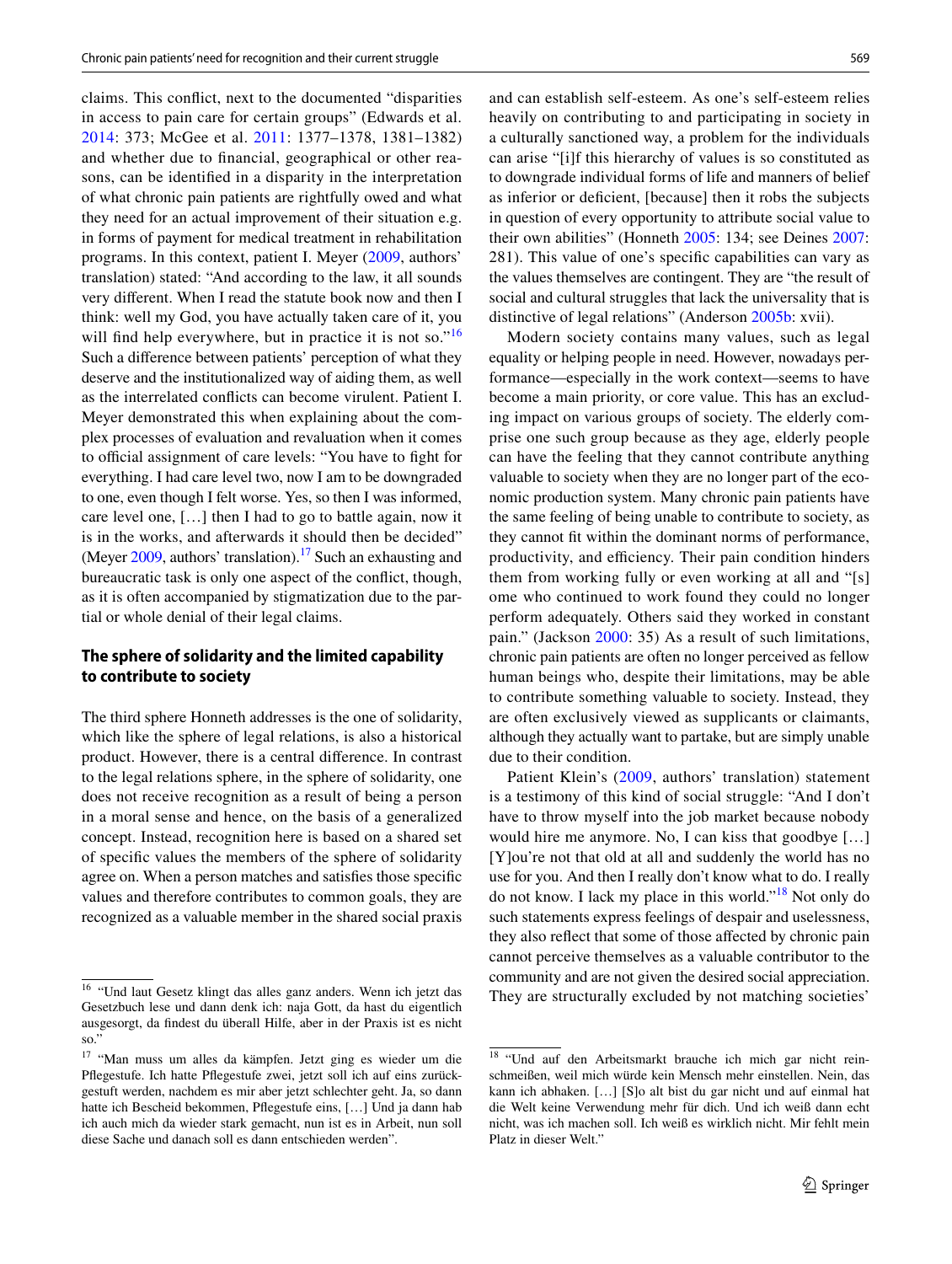claims. This confict, next to the documented "disparities in access to pain care for certain groups" (Edwards et al. [2014:](#page-9-10) 373; McGee et al. [2011:](#page-9-2) 1377–1378, 1381–1382) and whether due to fnancial, geographical or other reasons, can be identifed in a disparity in the interpretation of what chronic pain patients are rightfully owed and what they need for an actual improvement of their situation e.g. in forms of payment for medical treatment in rehabilitation programs. In this context, patient I. Meyer [\(2009,](#page-9-30) authors' translation) stated: "And according to the law, it all sounds very diferent. When I read the statute book now and then I think: well my God, you have actually taken care of it, you will find help everywhere, but in practice it is not so."<sup>[16](#page-6-0)</sup> Such a diference between patients' perception of what they deserve and the institutionalized way of aiding them, as well as the interrelated conficts can become virulent. Patient I. Meyer demonstrated this when explaining about the complex processes of evaluation and revaluation when it comes to official assignment of care levels: "You have to fight for everything. I had care level two, now I am to be downgraded to one, even though I felt worse. Yes, so then I was informed, care level one, […] then I had to go to battle again, now it is in the works, and afterwards it should then be decided" (Meyer  $2009$ , authors' translation).<sup>17</sup> Such an exhausting and bureaucratic task is only one aspect of the confict, though, as it is often accompanied by stigmatization due to the partial or whole denial of their legal claims.

## **The sphere of solidarity and the limited capability to contribute to society**

The third sphere Honneth addresses is the one of solidarity, which like the sphere of legal relations, is also a historical product. However, there is a central diference. In contrast to the legal relations sphere, in the sphere of solidarity, one does not receive recognition as a result of being a person in a moral sense and hence, on the basis of a generalized concept. Instead, recognition here is based on a shared set of specifc values the members of the sphere of solidarity agree on. When a person matches and satisfes those specifc values and therefore contributes to common goals, they are recognized as a valuable member in the shared social praxis and can establish self-esteem. As one's self-esteem relies heavily on contributing to and participating in society in a culturally sanctioned way, a problem for the individuals can arise "[i]f this hierarchy of values is so constituted as to downgrade individual forms of life and manners of belief as inferior or defcient, [because] then it robs the subjects in question of every opportunity to attribute social value to their own abilities" (Honneth [2005](#page-9-25): 134; see Deines [2007](#page-9-28): 281). This value of one's specifc capabilities can vary as the values themselves are contingent. They are "the result of social and cultural struggles that lack the universality that is distinctive of legal relations" (Anderson [2005b](#page-8-4): xvii).

Modern society contains many values, such as legal equality or helping people in need. However, nowadays performance—especially in the work context—seems to have become a main priority, or core value. This has an excluding impact on various groups of society. The elderly comprise one such group because as they age, elderly people can have the feeling that they cannot contribute anything valuable to society when they are no longer part of the economic production system. Many chronic pain patients have the same feeling of being unable to contribute to society, as they cannot fit within the dominant norms of performance, productivity, and efficiency. Their pain condition hinders them from working fully or even working at all and "[s] ome who continued to work found they could no longer perform adequately. Others said they worked in constant pain." (Jackson [2000](#page-9-6): 35) As a result of such limitations, chronic pain patients are often no longer perceived as fellow human beings who, despite their limitations, may be able to contribute something valuable to society. Instead, they are often exclusively viewed as supplicants or claimants, although they actually want to partake, but are simply unable due to their condition.

Patient Klein's [\(2009](#page-9-31), authors' translation) statement is a testimony of this kind of social struggle: "And I don't have to throw myself into the job market because nobody would hire me anymore. No, I can kiss that goodbye […] [Y]ou're not that old at all and suddenly the world has no use for you. And then I really don't know what to do. I really do not know. I lack my place in this world."[18](#page-6-2) Not only do such statements express feelings of despair and uselessness, they also refect that some of those afected by chronic pain cannot perceive themselves as a valuable contributor to the community and are not given the desired social appreciation. <sup>16</sup> "Und laut Gesetz klingt das alles ganz anders. Wenn ich jetzt das They are structurally excluded by not matching societies'

<span id="page-6-0"></span>Gesetzbuch lese und dann denk ich: naja Gott, da hast du eigentlich ausgesorgt, da fndest du überall Hilfe, aber in der Praxis ist es nicht so."

<span id="page-6-1"></span><sup>17</sup> "Man muss um alles da kämpfen. Jetzt ging es wieder um die Pfegestufe. Ich hatte Pfegestufe zwei, jetzt soll ich auf eins zurückgestuft werden, nachdem es mir aber jetzt schlechter geht. Ja, so dann hatte ich Bescheid bekommen, Pfegestufe eins, […] Und ja dann hab ich auch mich da wieder stark gemacht, nun ist es in Arbeit, nun soll diese Sache und danach soll es dann entschieden werden".

<span id="page-6-2"></span><sup>18</sup> "Und auf den Arbeitsmarkt brauche ich mich gar nicht reinschmeißen, weil mich würde kein Mensch mehr einstellen. Nein, das kann ich abhaken. […] [S]o alt bist du gar nicht und auf einmal hat die Welt keine Verwendung mehr für dich. Und ich weiß dann echt nicht, was ich machen soll. Ich weiß es wirklich nicht. Mir fehlt mein Platz in dieser Welt."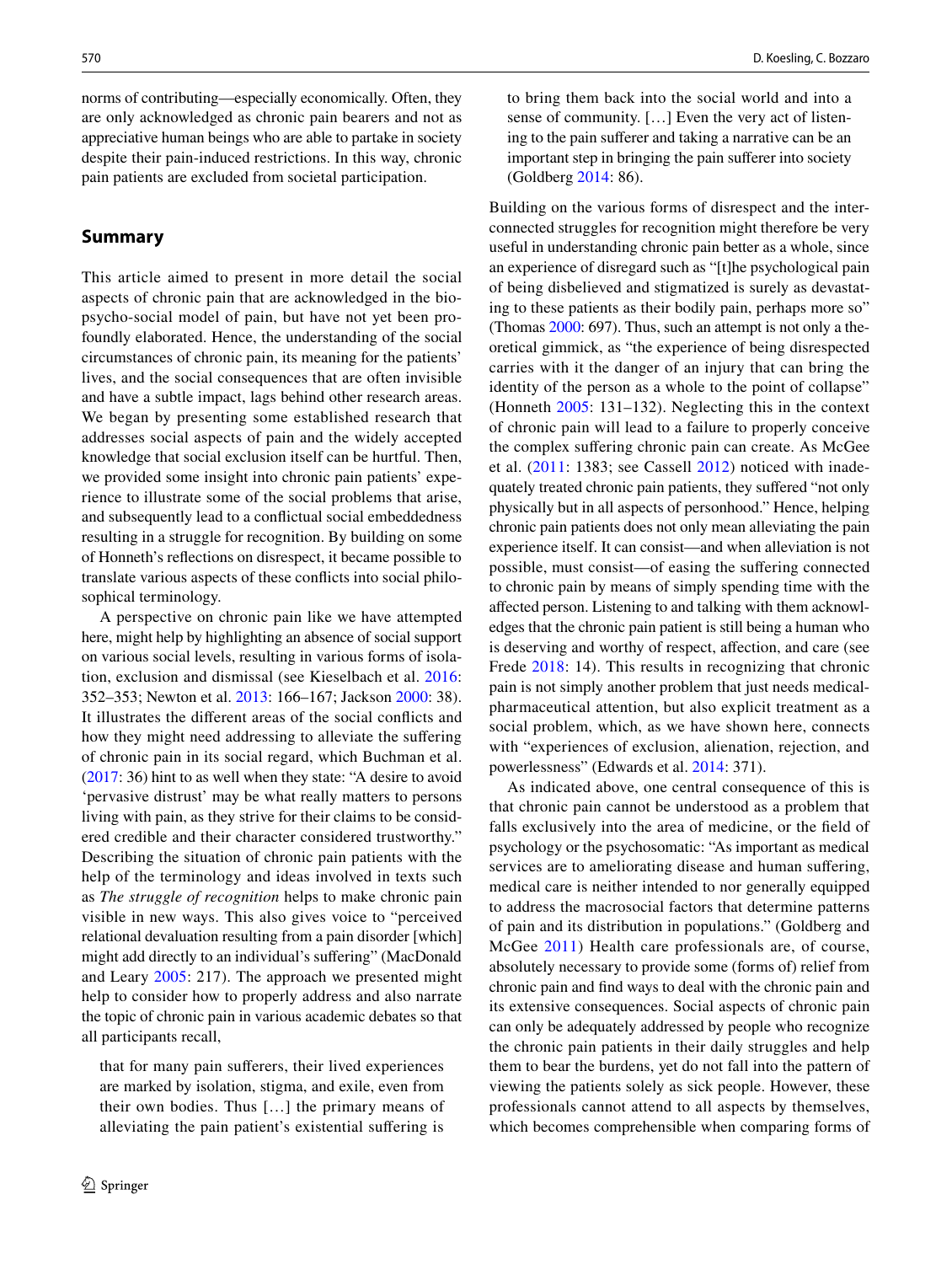norms of contributing—especially economically. Often, they are only acknowledged as chronic pain bearers and not as appreciative human beings who are able to partake in society despite their pain-induced restrictions. In this way, chronic pain patients are excluded from societal participation.

#### **Summary**

This article aimed to present in more detail the social aspects of chronic pain that are acknowledged in the biopsycho-social model of pain, but have not yet been profoundly elaborated. Hence, the understanding of the social circumstances of chronic pain, its meaning for the patients' lives, and the social consequences that are often invisible and have a subtle impact, lags behind other research areas. We began by presenting some established research that addresses social aspects of pain and the widely accepted knowledge that social exclusion itself can be hurtful. Then, we provided some insight into chronic pain patients' experience to illustrate some of the social problems that arise, and subsequently lead to a confictual social embeddedness resulting in a struggle for recognition. By building on some of Honneth's refections on disrespect, it became possible to translate various aspects of these conficts into social philosophical terminology.

A perspective on chronic pain like we have attempted here, might help by highlighting an absence of social support on various social levels, resulting in various forms of isolation, exclusion and dismissal (see Kieselbach et al. [2016](#page-9-32): 352–353; Newton et al. [2013:](#page-9-33) 166–167; Jackson [2000:](#page-9-6) 38). It illustrates the diferent areas of the social conficts and how they might need addressing to alleviate the suffering of chronic pain in its social regard, which Buchman et al. [\(2017](#page-8-6): 36) hint to as well when they state: "A desire to avoid 'pervasive distrust' may be what really matters to persons living with pain, as they strive for their claims to be considered credible and their character considered trustworthy." Describing the situation of chronic pain patients with the help of the terminology and ideas involved in texts such as *The struggle of recognition* helps to make chronic pain visible in new ways. This also gives voice to "perceived relational devaluation resulting from a pain disorder [which] might add directly to an individual's sufering" (MacDonald and Leary [2005](#page-9-18): 217). The approach we presented might help to consider how to properly address and also narrate the topic of chronic pain in various academic debates so that all participants recall,

that for many pain suferers, their lived experiences are marked by isolation, stigma, and exile, even from their own bodies. Thus […] the primary means of alleviating the pain patient's existential sufering is

to bring them back into the social world and into a sense of community. […] Even the very act of listening to the pain suferer and taking a narrative can be an important step in bringing the pain suferer into society (Goldberg [2014](#page-9-5): 86).

Building on the various forms of disrespect and the interconnected struggles for recognition might therefore be very useful in understanding chronic pain better as a whole, since an experience of disregard such as "[t]he psychological pain of being disbelieved and stigmatized is surely as devastating to these patients as their bodily pain, perhaps more so" (Thomas [2000](#page-9-17): 697). Thus, such an attempt is not only a theoretical gimmick, as "the experience of being disrespected carries with it the danger of an injury that can bring the identity of the person as a whole to the point of collapse" (Honneth [2005:](#page-9-25) 131–132). Neglecting this in the context of chronic pain will lead to a failure to properly conceive the complex sufering chronic pain can create. As McGee et al. [\(2011](#page-9-2): 1383; see Cassell [2012\)](#page-8-7) noticed with inadequately treated chronic pain patients, they sufered "not only physically but in all aspects of personhood." Hence, helping chronic pain patients does not only mean alleviating the pain experience itself. It can consist—and when alleviation is not possible, must consist—of easing the sufering connected to chronic pain by means of simply spending time with the afected person. Listening to and talking with them acknowledges that the chronic pain patient is still being a human who is deserving and worthy of respect, afection, and care (see Frede [2018:](#page-9-34) 14). This results in recognizing that chronic pain is not simply another problem that just needs medicalpharmaceutical attention, but also explicit treatment as a social problem, which, as we have shown here, connects with "experiences of exclusion, alienation, rejection, and powerlessness" (Edwards et al. [2014](#page-9-10): 371).

As indicated above, one central consequence of this is that chronic pain cannot be understood as a problem that falls exclusively into the area of medicine, or the feld of psychology or the psychosomatic: "As important as medical services are to ameliorating disease and human sufering, medical care is neither intended to nor generally equipped to address the macrosocial factors that determine patterns of pain and its distribution in populations." (Goldberg and McGee [2011\)](#page-9-35) Health care professionals are, of course, absolutely necessary to provide some (forms of) relief from chronic pain and fnd ways to deal with the chronic pain and its extensive consequences. Social aspects of chronic pain can only be adequately addressed by people who recognize the chronic pain patients in their daily struggles and help them to bear the burdens, yet do not fall into the pattern of viewing the patients solely as sick people. However, these professionals cannot attend to all aspects by themselves, which becomes comprehensible when comparing forms of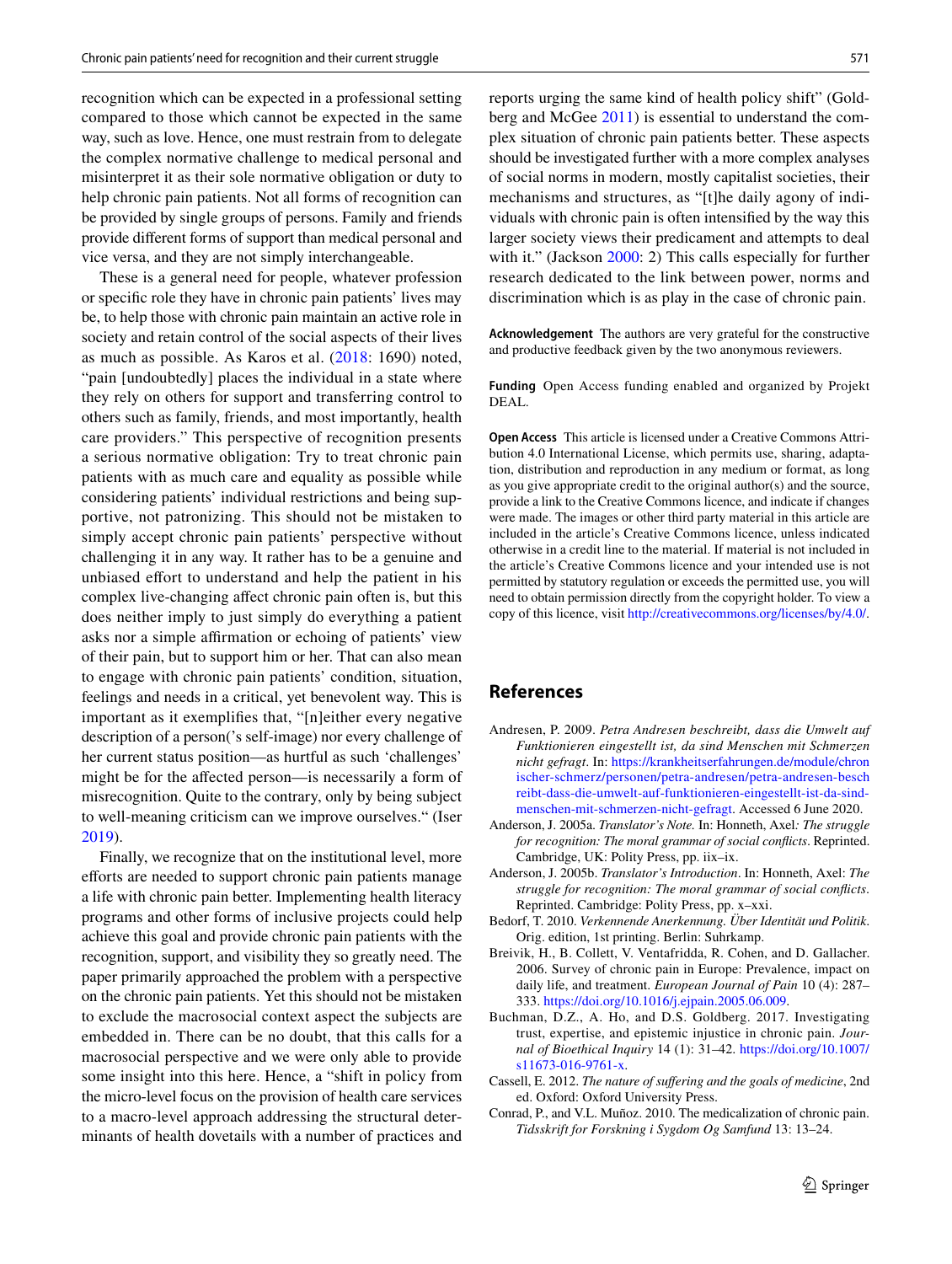recognition which can be expected in a professional setting compared to those which cannot be expected in the same way, such as love. Hence, one must restrain from to delegate the complex normative challenge to medical personal and misinterpret it as their sole normative obligation or duty to help chronic pain patients. Not all forms of recognition can be provided by single groups of persons. Family and friends provide diferent forms of support than medical personal and vice versa, and they are not simply interchangeable.

These is a general need for people, whatever profession or specifc role they have in chronic pain patients' lives may be, to help those with chronic pain maintain an active role in society and retain control of the social aspects of their lives as much as possible. As Karos et al. ([2018](#page-9-4): 1690) noted, "pain [undoubtedly] places the individual in a state where they rely on others for support and transferring control to others such as family, friends, and most importantly, health care providers." This perspective of recognition presents a serious normative obligation: Try to treat chronic pain patients with as much care and equality as possible while considering patients' individual restrictions and being supportive, not patronizing. This should not be mistaken to simply accept chronic pain patients' perspective without challenging it in any way. It rather has to be a genuine and unbiased efort to understand and help the patient in his complex live-changing afect chronic pain often is, but this does neither imply to just simply do everything a patient asks nor a simple affirmation or echoing of patients' view of their pain, but to support him or her. That can also mean to engage with chronic pain patients' condition, situation, feelings and needs in a critical, yet benevolent way. This is important as it exemplifes that, "[n]either every negative description of a person('s self-image) nor every challenge of her current status position—as hurtful as such 'challenges' might be for the afected person—is necessarily a form of misrecognition. Quite to the contrary, only by being subject to well-meaning criticism can we improve ourselves." (Iser [2019](#page-9-27)).

Finally, we recognize that on the institutional level, more efforts are needed to support chronic pain patients manage a life with chronic pain better. Implementing health literacy programs and other forms of inclusive projects could help achieve this goal and provide chronic pain patients with the recognition, support, and visibility they so greatly need. The paper primarily approached the problem with a perspective on the chronic pain patients. Yet this should not be mistaken to exclude the macrosocial context aspect the subjects are embedded in. There can be no doubt, that this calls for a macrosocial perspective and we were only able to provide some insight into this here. Hence, a "shift in policy from the micro-level focus on the provision of health care services to a macro-level approach addressing the structural determinants of health dovetails with a number of practices and reports urging the same kind of health policy shift" (Goldberg and McGee [2011\)](#page-9-35) is essential to understand the complex situation of chronic pain patients better. These aspects should be investigated further with a more complex analyses of social norms in modern, mostly capitalist societies, their mechanisms and structures, as "[t]he daily agony of individuals with chronic pain is often intensifed by the way this larger society views their predicament and attempts to deal with it." (Jackson [2000](#page-9-6): 2) This calls especially for further research dedicated to the link between power, norms and discrimination which is as play in the case of chronic pain.

**Acknowledgement** The authors are very grateful for the constructive and productive feedback given by the two anonymous reviewers.

**Funding** Open Access funding enabled and organized by Projekt DEAL.

**Open Access** This article is licensed under a Creative Commons Attribution 4.0 International License, which permits use, sharing, adaptation, distribution and reproduction in any medium or format, as long as you give appropriate credit to the original author(s) and the source, provide a link to the Creative Commons licence, and indicate if changes were made. The images or other third party material in this article are included in the article's Creative Commons licence, unless indicated otherwise in a credit line to the material. If material is not included in the article's Creative Commons licence and your intended use is not permitted by statutory regulation or exceeds the permitted use, you will need to obtain permission directly from the copyright holder. To view a copy of this licence, visit<http://creativecommons.org/licenses/by/4.0/>.

## **References**

- <span id="page-8-5"></span>Andresen, P. 2009. *Petra Andresen beschreibt, dass die Umwelt auf Funktionieren eingestellt ist, da sind Menschen mit Schmerzen nicht gefragt*. In: [https://krankheitserfahrungen.de/module/chron](https://krankheitserfahrungen.de/module/chronischer-schmerz/personen/petra-andresen/petra-andresen-beschreibt-dass-die-umwelt-auf-funktionieren-eingestellt-ist-da-sind-menschen-mit-schmerzen-nicht-gefragt) [ischer-schmerz/personen/petra-andresen/petra-andresen-besch](https://krankheitserfahrungen.de/module/chronischer-schmerz/personen/petra-andresen/petra-andresen-beschreibt-dass-die-umwelt-auf-funktionieren-eingestellt-ist-da-sind-menschen-mit-schmerzen-nicht-gefragt) [reibt-dass-die-umwelt-auf-funktionieren-eingestellt-ist-da-sind](https://krankheitserfahrungen.de/module/chronischer-schmerz/personen/petra-andresen/petra-andresen-beschreibt-dass-die-umwelt-auf-funktionieren-eingestellt-ist-da-sind-menschen-mit-schmerzen-nicht-gefragt)[menschen-mit-schmerzen-nicht-gefragt](https://krankheitserfahrungen.de/module/chronischer-schmerz/personen/petra-andresen/petra-andresen-beschreibt-dass-die-umwelt-auf-funktionieren-eingestellt-ist-da-sind-menschen-mit-schmerzen-nicht-gefragt). Accessed 6 June 2020.
- <span id="page-8-3"></span>Anderson, J. 2005a. *Translator's Note.* In: Honneth, Axel*: The struggle for recognition: The moral grammar of social conficts*. Reprinted. Cambridge, UK: Polity Press, pp. iix–ix.
- <span id="page-8-4"></span>Anderson, J. 2005b. *Translator's Introduction*. In: Honneth, Axel: *The struggle for recognition: The moral grammar of social conficts*. Reprinted. Cambridge: Polity Press, pp. x–xxi.
- <span id="page-8-2"></span>Bedorf, T. 2010. *Verkennende Anerkennung. Über Identität und Politik*. Orig. edition, 1st printing. Berlin: Suhrkamp.
- <span id="page-8-0"></span>Breivik, H., B. Collett, V. Ventafridda, R. Cohen, and D. Gallacher. 2006. Survey of chronic pain in Europe: Prevalence, impact on daily life, and treatment. *European Journal of Pain* 10 (4): 287– 333.<https://doi.org/10.1016/j.ejpain.2005.06.009>.
- <span id="page-8-6"></span>Buchman, D.Z., A. Ho, and D.S. Goldberg. 2017. Investigating trust, expertise, and epistemic injustice in chronic pain. *Journal of Bioethical Inquiry* 14 (1): 31–42. [https://doi.org/10.1007/](https://doi.org/10.1007/s11673-016-9761-x) [s11673-016-9761-x.](https://doi.org/10.1007/s11673-016-9761-x)
- <span id="page-8-7"></span>Cassell, E. 2012. *The nature of sufering and the goals of medicine*, 2nd ed. Oxford: Oxford University Press.
- <span id="page-8-1"></span>Conrad, P., and V.L. Muñoz. 2010. The medicalization of chronic pain. *Tidsskrift for Forskning i Sygdom Og Samfund* 13: 13–24.